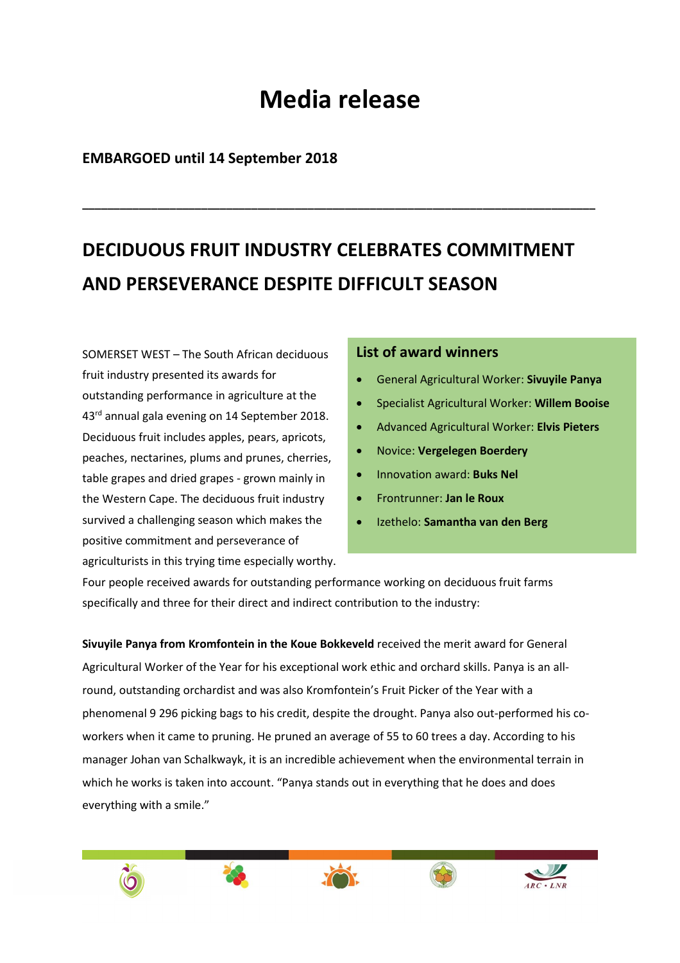## **Media release**

**\_\_\_\_\_\_\_\_\_\_\_\_\_\_\_\_\_\_\_\_\_\_\_\_\_\_\_\_\_\_\_\_\_\_\_\_\_\_\_\_\_\_\_\_\_\_\_\_\_\_\_\_\_\_\_\_\_\_\_\_\_\_\_\_\_\_\_\_\_\_\_\_\_\_\_\_\_\_\_\_\_\_** 

## **EMBARGOED until 14 September 2018**

## **DECIDUOUS FRUIT INDUSTRY CELEBRATES COMMITMENT AND PERSEVERANCE DESPITE DIFFICULT SEASON**

SOMERSET WEST – The South African deciduous fruit industry presented its awards for outstanding performance in agriculture at the 43<sup>rd</sup> annual gala evening on 14 September 2018. Deciduous fruit includes apples, pears, apricots, peaches, nectarines, plums and prunes, cherries, table grapes and dried grapes - grown mainly in the Western Cape. The deciduous fruit industry survived a challenging season which makes the positive commitment and perseverance of agriculturists in this trying time especially worthy.

## **List of award winners**

- General Agricultural Worker: **Sivuyile Panya**
- Specialist Agricultural Worker: **Willem Booise**
- Advanced Agricultural Worker: **Elvis Pieters**
- Novice: **Vergelegen Boerdery**
- Innovation award: **Buks Nel**
- Frontrunner: **Jan le Roux**
- Izethelo: **Samantha van den Berg**

Four people received awards for outstanding performance working on deciduous fruit farms specifically and three for their direct and indirect contribution to the industry:

**Sivuyile Panya from Kromfontein in the Koue Bokkeveld** received the merit award for General Agricultural Worker of the Year for his exceptional work ethic and orchard skills. Panya is an allround, outstanding orchardist and was also Kromfontein's Fruit Picker of the Year with a phenomenal 9 296 picking bags to his credit, despite the drought. Panya also out-performed his coworkers when it came to pruning. He pruned an average of 55 to 60 trees a day. According to his manager Johan van Schalkwayk, it is an incredible achievement when the environmental terrain in which he works is taken into account. "Panya stands out in everything that he does and does everything with a smile."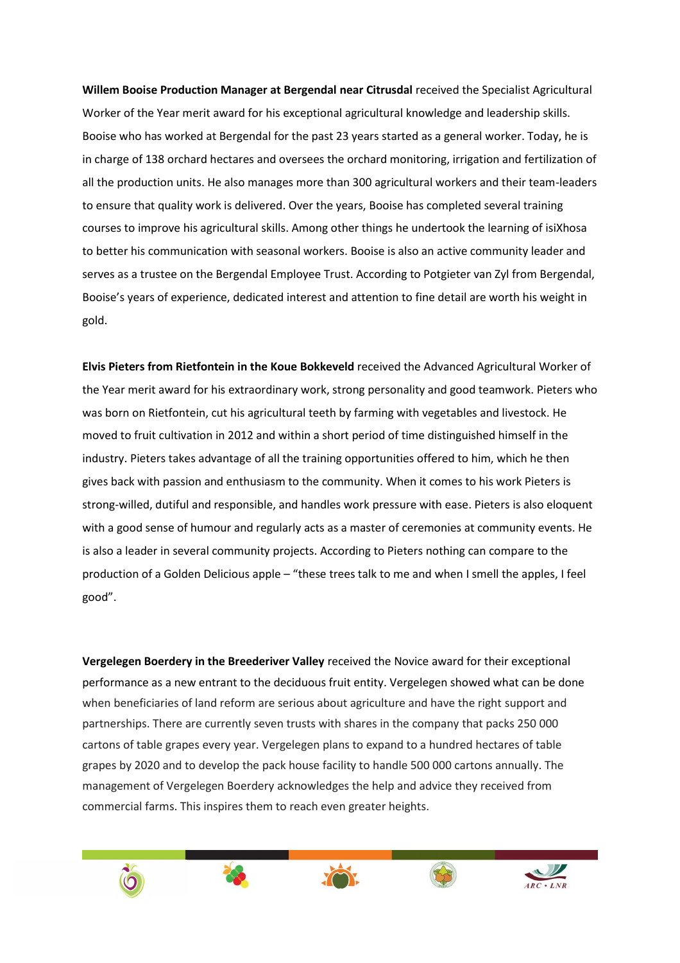**Willem Booise Production Manager at Bergendal near Citrusdal** received the Specialist Agricultural Worker of the Year merit award for his exceptional agricultural knowledge and leadership skills. Booise who has worked at Bergendal for the past 23 years started as a general worker. Today, he is in charge of 138 orchard hectares and oversees the orchard monitoring, irrigation and fertilization of all the production units. He also manages more than 300 agricultural workers and their team-leaders to ensure that quality work is delivered. Over the years, Booise has completed several training courses to improve his agricultural skills. Among other things he undertook the learning of isiXhosa to better his communication with seasonal workers. Booise is also an active community leader and serves as a trustee on the Bergendal Employee Trust. According to Potgieter van Zyl from Bergendal, Booise's years of experience, dedicated interest and attention to fine detail are worth his weight in gold.

**Elvis Pieters from Rietfontein in the Koue Bokkeveld** received the Advanced Agricultural Worker of the Year merit award for his extraordinary work, strong personality and good teamwork. Pieters who was born on Rietfontein, cut his agricultural teeth by farming with vegetables and livestock. He moved to fruit cultivation in 2012 and within a short period of time distinguished himself in the industry. Pieters takes advantage of all the training opportunities offered to him, which he then gives back with passion and enthusiasm to the community. When it comes to his work Pieters is strong-willed, dutiful and responsible, and handles work pressure with ease. Pieters is also eloquent with a good sense of humour and regularly acts as a master of ceremonies at community events. He is also a leader in several community projects. According to Pieters nothing can compare to the production of a Golden Delicious apple – "these trees talk to me and when I smell the apples, I feel good".

**Vergelegen Boerdery in the Breederiver Valley** received the Novice award for their exceptional performance as a new entrant to the deciduous fruit entity. Vergelegen showed what can be done when beneficiaries of land reform are serious about agriculture and have the right support and partnerships. There are currently seven trusts with shares in the company that packs 250 000 cartons of table grapes every year. Vergelegen plans to expand to a hundred hectares of table grapes by 2020 and to develop the pack house facility to handle 500 000 cartons annually. The management of Vergelegen Boerdery acknowledges the help and advice they received from commercial farms. This inspires them to reach even greater heights.